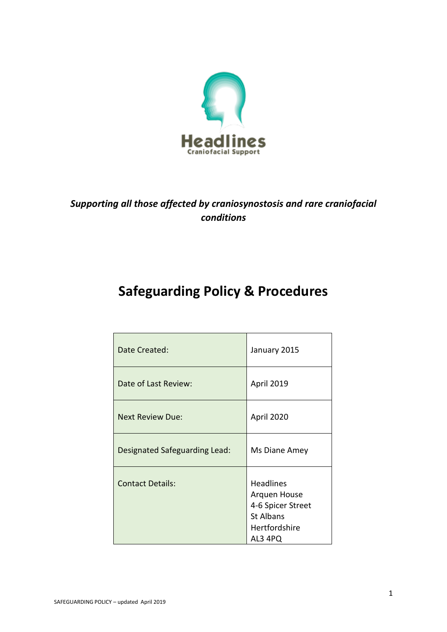

## *Supporting all those affected by craniosynostosis and rare craniofacial conditions*

# **Safeguarding Policy & Procedures**

| Date Created:                 | January 2015                                                                                          |
|-------------------------------|-------------------------------------------------------------------------------------------------------|
| Date of Last Review:          | April 2019                                                                                            |
| <b>Next Review Due:</b>       | April 2020                                                                                            |
| Designated Safeguarding Lead: | Ms Diane Amey                                                                                         |
| <b>Contact Details:</b>       | <b>Headlines</b><br>Arquen House<br>4-6 Spicer Street<br><b>St Albans</b><br>Hertfordshire<br>AL3 4PQ |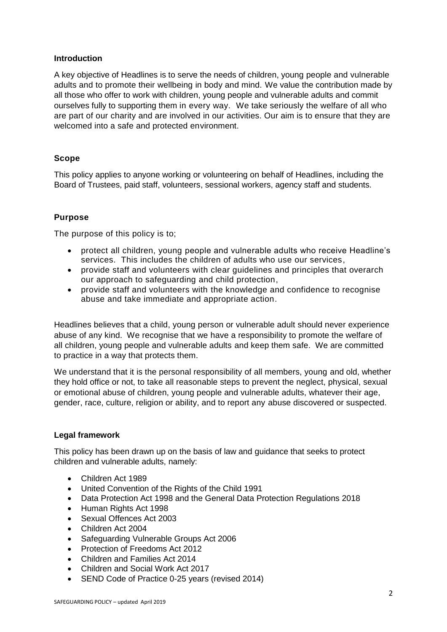### **Introduction**

A key objective of Headlines is to serve the needs of children, young people and vulnerable adults and to promote their wellbeing in body and mind. We value the contribution made by all those who offer to work with children, young people and vulnerable adults and commit ourselves fully to supporting them in every way. We take seriously the welfare of all who are part of our charity and are involved in our activities. Our aim is to ensure that they are welcomed into a safe and protected environment.

### **Scope**

This policy applies to anyone working or volunteering on behalf of Headlines, including the Board of Trustees, paid staff, volunteers, sessional workers, agency staff and students.

### **Purpose**

The purpose of this policy is to;

- protect all children, young people and vulnerable adults who receive Headline's services. This includes the children of adults who use our services,
- provide staff and volunteers with clear guidelines and principles that overarch our approach to safeguarding and child protection,
- provide staff and volunteers with the knowledge and confidence to recognise abuse and take immediate and appropriate action.

Headlines believes that a child, young person or vulnerable adult should never experience abuse of any kind. We recognise that we have a responsibility to promote the welfare of all children, young people and vulnerable adults and keep them safe. We are committed to practice in a way that protects them.

We understand that it is the personal responsibility of all members, young and old, whether they hold office or not, to take all reasonable steps to prevent the neglect, physical, sexual or emotional abuse of children, young people and vulnerable adults, whatever their age, gender, race, culture, religion or ability, and to report any abuse discovered or suspected.

### **Legal framework**

This policy has been drawn up on the basis of law and guidance that seeks to protect children and vulnerable adults, namely:

- Children Act 1989
- United Convention of the Rights of the Child 1991
- Data Protection Act 1998 and the General Data Protection Regulations 2018
- Human Rights Act 1998
- Sexual Offences Act 2003
- Children Act 2004
- Safeguarding Vulnerable Groups Act 2006
- Protection of Freedoms Act 2012
- Children and Families Act 2014
- Children and Social Work Act 2017
- SEND Code of Practice 0-25 years (revised 2014)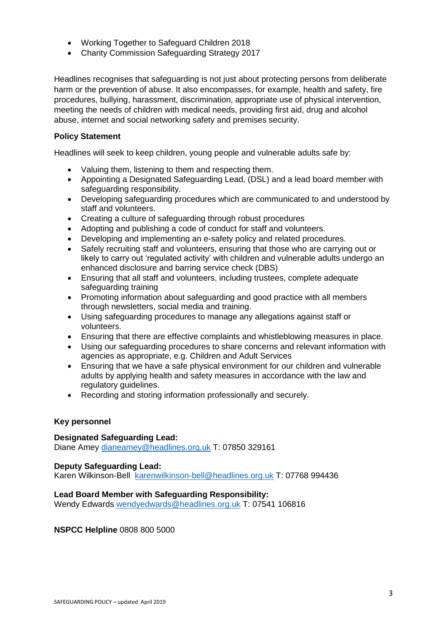- Working Together to Safeguard Children 2018
- Charity Commission Safeguarding Strategy 2017

Headlines recognises that safeguarding is not just about protecting persons from deliberate harm or the prevention of abuse. It also encompasses, for example, health and safety, fire procedures, bullying, harassment, discrimination, appropriate use of physical intervention, meeting the needs of children with medical needs, providing first aid, drug and alcohol abuse, internet and social networking safety and premises security.

### **Policy Statement**

Headlines will seek to keep children, young people and vulnerable adults safe by:

- Valuing them, listening to them and respecting them.
- Appointing a Designated Safeguarding Lead, (DSL) and a lead board member with safeguarding responsibility.
- Developing safeguarding procedures which are communicated to and understood by staff and volunteers.
- Creating a culture of safeguarding through robust procedures
- Adopting and publishing a code of conduct for staff and volunteers.
- Developing and implementing an e-safety policy and related procedures.
- Safely recruiting staff and volunteers, ensuring that those who are carrying out or likely to carry out 'regulated activity' with children and vulnerable adults undergo an enhanced disclosure and barring service check (DBS)
- Ensuring that all staff and volunteers, including trustees, complete adequate safeguarding training
- Promoting information about safeguarding and good practice with all members through newsletters, social media and training.
- Using safeguarding procedures to manage any allegations against staff or volunteers.
- Ensuring that there are effective complaints and whistleblowing measures in place.
- Using our safeguarding procedures to share concerns and relevant information with agencies as appropriate, e.g. Children and Adult Services
- Ensuring that we have a safe physical environment for our children and vulnerable adults by applying health and safety measures in accordance with the law and regulatory guidelines.
- Recording and storing information professionally and securely.

### **Key personnel**

#### **Designated Safeguarding Lead:**

Diane Amey [dianeamey@headlines.org.uk](mailto:dianeamey@headlines.org.uk) T: 07850 329161

### **Deputy Safeguarding Lead:**

Karen Wilkinson-Bell [karenwilkinson-bell@headlines.org.uk](mailto:karenwilkinson-bell@headlines.org.uk) T: 07768 994436

### **Lead Board Member with Safeguarding Responsibility:**

Wendy Edwards [wendyedwards@headlines.org.uk](mailto:wendyedwards@headlines.org.uk) T: 07541 106816

**NSPCC Helpline** 0808 800 5000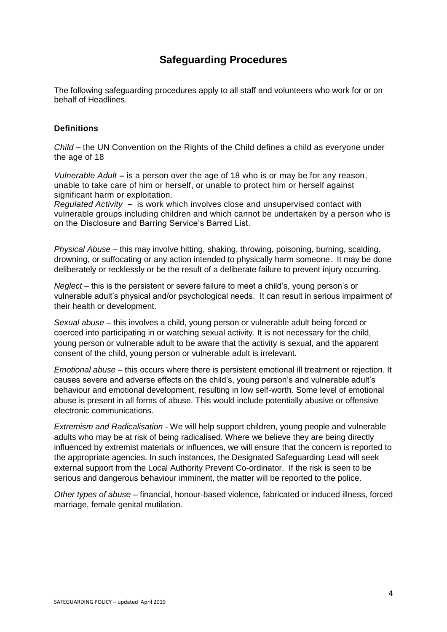### **Safeguarding Procedures**

The following safeguarding procedures apply to all staff and volunteers who work for or on behalf of Headlines.

### **Definitions**

*Child* **–** the UN Convention on the Rights of the Child defines a child as everyone under the age of 18

*Vulnerable Adult* **–** is a person over the age of 18 who is or may be for any reason, unable to take care of him or herself, or unable to protect him or herself against significant harm or exploitation.

*Regulated Activity* **–** is work which involves close and unsupervised contact with vulnerable groups including children and which cannot be undertaken by a person who is on the Disclosure and Barring Service's Barred List.

*Physical Abuse* – this may involve hitting, shaking, throwing, poisoning, burning, scalding, drowning, or suffocating or any action intended to physically harm someone. It may be done deliberately or recklessly or be the result of a deliberate failure to prevent injury occurring.

*Neglect* – this is the persistent or severe failure to meet a child's, young person's or vulnerable adult's physical and/or psychological needs. It can result in serious impairment of their health or development.

*Sexual abuse* – this involves a child, young person or vulnerable adult being forced or coerced into participating in or watching sexual activity. It is not necessary for the child, young person or vulnerable adult to be aware that the activity is sexual, and the apparent consent of the child, young person or vulnerable adult is irrelevant.

*Emotional abuse* – this occurs where there is persistent emotional ill treatment or rejection. It causes severe and adverse effects on the child's, young person's and vulnerable adult's behaviour and emotional development, resulting in low self-worth. Some level of emotional abuse is present in all forms of abuse. This would include potentially abusive or offensive electronic communications.

*Extremism and Radicalisation* - We will help support children, young people and vulnerable adults who may be at risk of being radicalised. Where we believe they are being directly influenced by extremist materials or influences, we will ensure that the concern is reported to the appropriate agencies. In such instances, the Designated Safeguarding Lead will seek external support from the Local Authority Prevent Co-ordinator. If the risk is seen to be serious and dangerous behaviour imminent, the matter will be reported to the police.

*Other types of abuse* – financial, honour-based violence, fabricated or induced illness, forced marriage, female genital mutilation.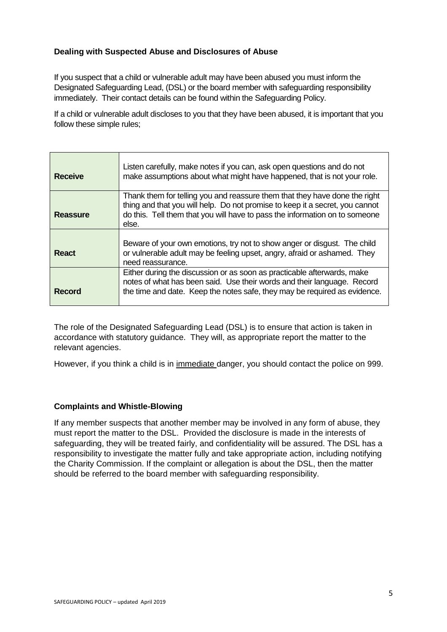### **Dealing with Suspected Abuse and Disclosures of Abuse**

If you suspect that a child or vulnerable adult may have been abused you must inform the Designated Safeguarding Lead, (DSL) or the board member with safeguarding responsibility immediately. Their contact details can be found within the Safeguarding Policy.

If a child or vulnerable adult discloses to you that they have been abused, it is important that you follow these simple rules;

| <b>Receive</b>  | Listen carefully, make notes if you can, ask open questions and do not<br>make assumptions about what might have happened, that is not your role.                                                                                                  |
|-----------------|----------------------------------------------------------------------------------------------------------------------------------------------------------------------------------------------------------------------------------------------------|
| <b>Reassure</b> | Thank them for telling you and reassure them that they have done the right<br>thing and that you will help. Do not promise to keep it a secret, you cannot<br>do this. Tell them that you will have to pass the information on to someone<br>else. |
| <b>React</b>    | Beware of your own emotions, try not to show anger or disgust. The child<br>or vulnerable adult may be feeling upset, angry, afraid or ashamed. They<br>need reassurance.                                                                          |
| <b>Record</b>   | Either during the discussion or as soon as practicable afterwards, make<br>notes of what has been said. Use their words and their language. Record<br>the time and date. Keep the notes safe, they may be required as evidence.                    |

The role of the Designated Safeguarding Lead (DSL) is to ensure that action is taken in accordance with statutory guidance. They will, as appropriate report the matter to the relevant agencies.

However, if you think a child is in immediate danger, you should contact the police on 999.

### **Complaints and Whistle-Blowing**

If any member suspects that another member may be involved in any form of abuse, they must report the matter to the DSL. Provided the disclosure is made in the interests of safeguarding, they will be treated fairly, and confidentiality will be assured. The DSL has a responsibility to investigate the matter fully and take appropriate action, including notifying the Charity Commission. If the complaint or allegation is about the DSL, then the matter should be referred to the board member with safeguarding responsibility.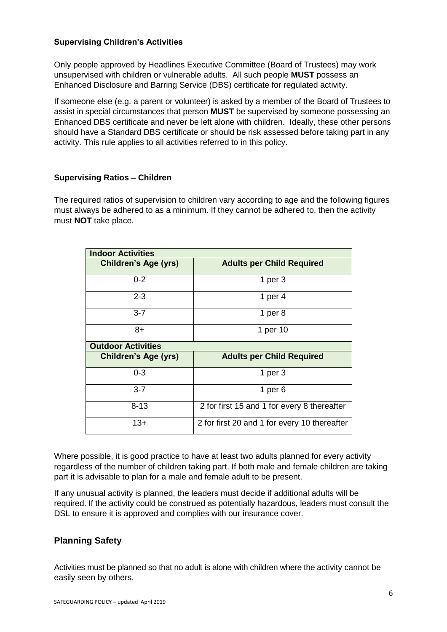### **Supervising Children's Activities**

Only people approved by Headlines Executive Committee (Board of Trustees) may work unsupervised with children or vulnerable adults. All such people **MUST** possess an Enhanced Disclosure and Barring Service (DBS) certificate for regulated activity.

If someone else (e.g. a parent or volunteer) is asked by a member of the Board of Trustees to assist in special circumstances that person **MUST** be supervised by someone possessing an Enhanced DBS certificate and never be left alone with children. Ideally, these other persons should have a Standard DBS certificate or should be risk assessed before taking part in any activity. This rule applies to all activities referred to in this policy.

### **Supervising Ratios – Children**

The required ratios of supervision to children vary according to age and the following figures must always be adhered to as a minimum. If they cannot be adhered to, then the activity must **NOT** take place.

| <b>Indoor Activities</b>    |                                              |  |
|-----------------------------|----------------------------------------------|--|
| <b>Children's Age (yrs)</b> | <b>Adults per Child Required</b>             |  |
| $0 - 2$                     | 1 per $3$                                    |  |
| $2 - 3$                     | 1 per $4$                                    |  |
| $3 - 7$                     | 1 per $8$                                    |  |
| $8+$                        | 1 per 10                                     |  |
| <b>Outdoor Activities</b>   |                                              |  |
| <b>Children's Age (yrs)</b> | <b>Adults per Child Required</b>             |  |
| $0 - 3$                     | 1 per $3$                                    |  |
| $3 - 7$                     | 1 per $6$                                    |  |
| $8 - 13$                    | 2 for first 15 and 1 for every 8 thereafter  |  |
| $13+$                       | 2 for first 20 and 1 for every 10 thereafter |  |

Where possible, it is good practice to have at least two adults planned for every activity regardless of the number of children taking part. If both male and female children are taking part it is advisable to plan for a male and female adult to be present.

If any unusual activity is planned, the leaders must decide if additional adults will be required. If the activity could be construed as potentially hazardous, leaders must consult the DSL to ensure it is approved and complies with our insurance cover.

### **Planning Safety**

Activities must be planned so that no adult is alone with children where the activity cannot be easily seen by others.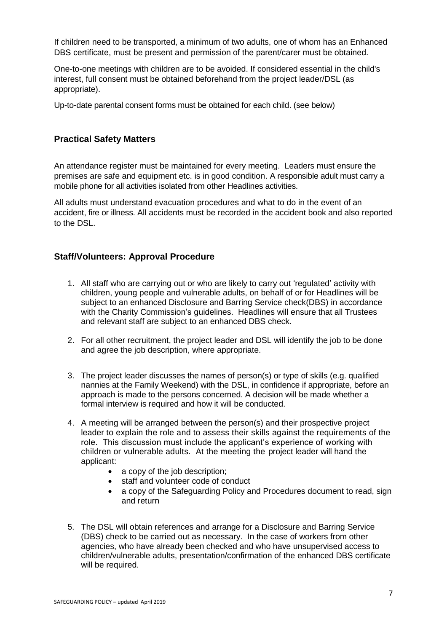If children need to be transported, a minimum of two adults, one of whom has an Enhanced DBS certificate, must be present and permission of the parent/carer must be obtained.

One-to-one meetings with children are to be avoided. If considered essential in the child's interest, full consent must be obtained beforehand from the project leader/DSL (as appropriate).

Up-to-date parental consent forms must be obtained for each child. (see below)

### **Practical Safety Matters**

An attendance register must be maintained for every meeting. Leaders must ensure the premises are safe and equipment etc. is in good condition. A responsible adult must carry a mobile phone for all activities isolated from other Headlines activities.

All adults must understand evacuation procedures and what to do in the event of an accident, fire or illness. All accidents must be recorded in the accident book and also reported to the DSL.

### **Staff/Volunteers: Approval Procedure**

- 1. All staff who are carrying out or who are likely to carry out 'regulated' activity with children, young people and vulnerable adults, on behalf of or for Headlines will be subject to an enhanced Disclosure and Barring Service check(DBS) in accordance with the Charity Commission's guidelines. Headlines will ensure that all Trustees and relevant staff are subject to an enhanced DBS check.
- 2. For all other recruitment, the project leader and DSL will identify the job to be done and agree the job description, where appropriate.
- 3. The project leader discusses the names of person(s) or type of skills (e.g. qualified nannies at the Family Weekend) with the DSL, in confidence if appropriate, before an approach is made to the persons concerned. A decision will be made whether a formal interview is required and how it will be conducted.
- 4. A meeting will be arranged between the person(s) and their prospective project leader to explain the role and to assess their skills against the requirements of the role. This discussion must include the applicant's experience of working with children or vulnerable adults. At the meeting the project leader will hand the applicant:
	- a copy of the job description;
	- staff and volunteer code of conduct
	- a copy of the Safeguarding Policy and Procedures document to read, sign and return
- 5. The DSL will obtain references and arrange for a Disclosure and Barring Service (DBS) check to be carried out as necessary. In the case of workers from other agencies, who have already been checked and who have unsupervised access to children/vulnerable adults, presentation/confirmation of the enhanced DBS certificate will be required.